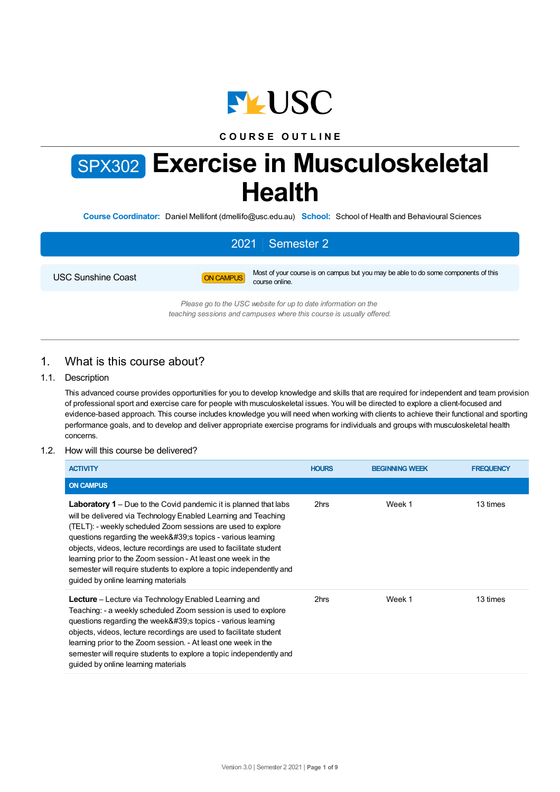

## **C O U R S E O U T L I N E**

# SPX302 **Exercise in Musculoskeletal Health**

**Course Coordinator:** Daniel Mellifont (dmellifo@usc.edu.au) **School:** School of Health and Behavioural Sciences

## 2021 Semester 2 USC Sunshine Coast **ON CAMPUS** Most of your course is on campus but you may be able to do some components of this course online. *Please go to the USC website for up to date information on the teaching sessions and campuses where this course is usually offered.*

## 1. What is this course about?

#### 1.1. Description

This advanced course provides opportunities for you to develop knowledge and skills that are required for independent and team provision of professional sport and exercise care for people with musculoskeletal issues. You will be directed to explore a client-focused and evidence-based approach. This course includes knowledge you will need when working with clients to achieve their functional and sporting performance goals, and to develop and deliver appropriate exercise programs for individuals and groups with musculoskeletal health concerns.

#### 1.2. How will this course be delivered?

| <b>ACTIVITY</b>                                                                                                                                                                                                                                                                                                                                                                                                                                                                                                            | <b>HOURS</b> | <b>BEGINNING WEEK</b> | <b>FREQUENCY</b> |
|----------------------------------------------------------------------------------------------------------------------------------------------------------------------------------------------------------------------------------------------------------------------------------------------------------------------------------------------------------------------------------------------------------------------------------------------------------------------------------------------------------------------------|--------------|-----------------------|------------------|
| <b>ON CAMPUS</b>                                                                                                                                                                                                                                                                                                                                                                                                                                                                                                           |              |                       |                  |
| <b>Laboratory 1</b> – Due to the Covid pandemic it is planned that labs<br>will be delivered via Technology Enabled Learning and Teaching<br>(TELT): - weekly scheduled Zoom sessions are used to explore<br>questions regarding the week' stopics - various learning<br>objects, videos, lecture recordings are used to facilitate student<br>learning prior to the Zoom session - At least one week in the<br>semester will require students to explore a topic independently and<br>quided by online learning materials | 2hrs         | Week 1                | 13 times         |
| <b>Lecture</b> – Lecture via Technology Enabled Learning and<br>Teaching: - a weekly scheduled Zoom session is used to explore<br>questions regarding the week' stopics - various learning<br>objects, videos, lecture recordings are used to facilitate student<br>learning prior to the Zoom session. - At least one week in the<br>semester will require students to explore a topic independently and<br>guided by online learning materials                                                                           | 2hrs         | Week 1                | 13 times         |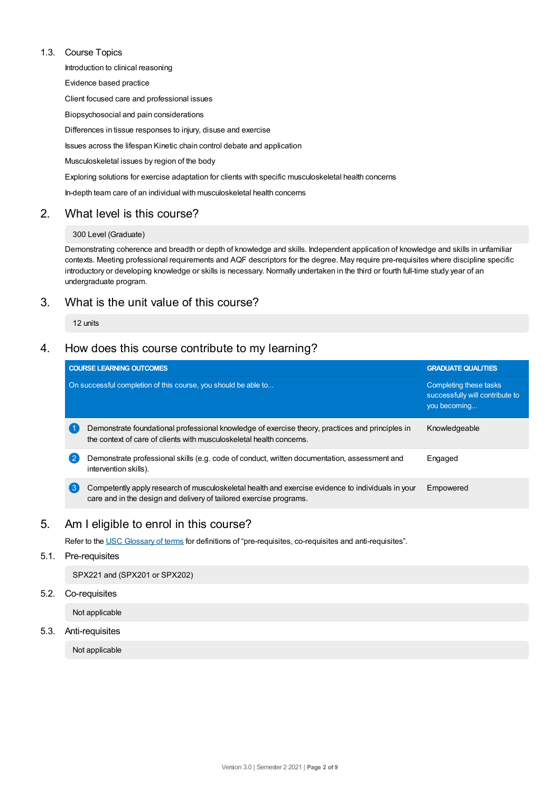#### 1.3. Course Topics

Introduction to clinical reasoning

Evidence based practice

Client focused care and professional issues

Biopsychosocial and pain considerations

Differences in tissue responses to injury, disuse and exercise

Issues across the lifespan Kinetic chain control debate and application

Musculoskeletal issues by region of the body

Exploring solutions for exercise adaptation for clients with specific musculoskeletal health concerns

In-depth team care of an individual with musculoskeletal health concerns

## 2. What level is this course?

#### 300 Level (Graduate)

Demonstrating coherence and breadth or depth of knowledge and skills. Independent application of knowledge and skills in unfamiliar contexts. Meeting professional requirements and AQF descriptors for the degree. May require pre-requisites where discipline specific introductory or developing knowledge or skills is necessary. Normally undertaken in the third or fourth full-time study year of an undergraduate program.

## 3. What is the unit value of this course?

12 units

## 4. How does this course contribute to my learning?

|              | <b>COURSE LEARNING OUTCOMES</b>                                                                                                                                         | <b>GRADUATE QUALITIES</b>                                                 |
|--------------|-------------------------------------------------------------------------------------------------------------------------------------------------------------------------|---------------------------------------------------------------------------|
|              | On successful completion of this course, you should be able to                                                                                                          | Completing these tasks<br>successfully will contribute to<br>you becoming |
|              | Demonstrate foundational professional knowledge of exercise theory, practices and principles in<br>the context of care of clients with musculoskeletal health concerns. | Knowledgeable                                                             |
| $\mathbf{2}$ | Demonstrate professional skills (e.g. code of conduct, written documentation, assessment and<br>intervention skills).                                                   | Engaged                                                                   |
| 3            | Competently apply research of musculoskeletal health and exercise evidence to individuals in your<br>care and in the design and delivery of tailored exercise programs. | Empowered                                                                 |

## 5. Am Ieligible to enrol in this course?

Refer to the USC [Glossary](https://www.usc.edu.au/about/policies-and-procedures/glossary-of-terms-for-policy-and-procedures) of terms for definitions of "pre-requisites, co-requisites and anti-requisites".

#### 5.1. Pre-requisites

SPX221 and (SPX201 or SPX202)

#### 5.2. Co-requisites

Not applicable

5.3. Anti-requisites

Not applicable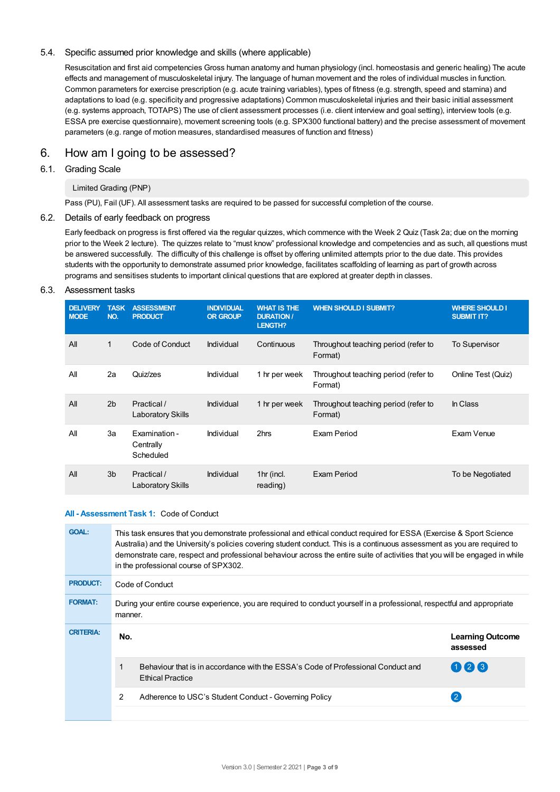#### 5.4. Specific assumed prior knowledge and skills (where applicable)

Resuscitation and first aid competencies Gross human anatomy and human physiology (incl. homeostasis and generic healing) The acute effects and management of musculoskeletal injury. The language of human movement and the roles of individual muscles in function. Common parameters for exercise prescription (e.g. acute training variables), types of fitness (e.g. strength, speed and stamina) and adaptations to load (e.g. specificity and progressive adaptations) Common musculoskeletal injuries and their basic initial assessment (e.g. systems approach, TOTAPS) The use of client assessment processes (i.e. client interview and goal setting), interview tools (e.g. ESSA pre exercise questionnaire), movement screening tools (e.g. SPX300 functional battery) and the precise assessment of movement parameters (e.g. range of motion measures, standardised measures of function and fitness)

## 6. How am Igoing to be assessed?

#### 6.1. Grading Scale

#### Limited Grading (PNP)

Pass (PU), Fail (UF). All assessment tasks are required to be passed for successful completion of the course.

#### 6.2. Details of early feedback on progress

Early feedback on progress is first offered via the regular quizzes, which commence with the Week 2 Quiz (Task 2a; due on the morning prior to the Week 2 lecture). The quizzes relate to "must know" professional knowledge and competencies and as such, all questions must be answered successfully. The difficulty of this challenge is offset by offering unlimited attempts prior to the due date. This provides students with the opportunity to demonstrate assumed prior knowledge, facilitates scaffolding of learning as part of growth across programs and sensitises students to important clinical questions that are explored at greater depth in classes.

#### 6.3. Assessment tasks

| <b>DELIVERY</b><br><b>MODE</b> | <b>TASK</b><br>NO. | <b>ASSESSMENT</b><br><b>PRODUCT</b>     | <b>INDIVIDUAL</b><br><b>OR GROUP</b> | <b>WHAT IS THE</b><br><b>DURATION /</b><br>LENGTH? | <b>WHEN SHOULD I SUBMIT?</b>                    | <b>WHERE SHOULD I</b><br><b>SUBMIT IT?</b> |
|--------------------------------|--------------------|-----------------------------------------|--------------------------------------|----------------------------------------------------|-------------------------------------------------|--------------------------------------------|
| All                            | 1                  | Code of Conduct                         | Individual                           | Continuous                                         | Throughout teaching period (refer to<br>Format) | <b>To Supervisor</b>                       |
| All                            | 2a                 | Quiz/zes                                | Individual                           | 1 hr per week                                      | Throughout teaching period (refer to<br>Format) | Online Test (Quiz)                         |
| All                            | 2 <sub>b</sub>     | Practical /<br>Laboratory Skills        | Individual                           | 1 hr per week                                      | Throughout teaching period (refer to<br>Format) | In Class                                   |
| All                            | 3a                 | Examination -<br>Centrally<br>Scheduled | Individual                           | 2hrs                                               | Exam Period                                     | Exam Venue                                 |
| All                            | 3 <sub>b</sub>     | Practical /<br>Laboratory Skills        | Individual                           | 1hr (incl.<br>reading)                             | Exam Period                                     | To be Negotiated                           |

#### **All - Assessment Task 1:** Code of Conduct

| <b>GOAL:</b>     |                                                                                                                                     | This task ensures that you demonstrate professional and ethical conduct required for ESSA (Exercise & Sport Science<br>Australia) and the University's policies covering student conduct. This is a continuous assessment as you are required to<br>demonstrate care, respect and professional behaviour across the entire suite of activities that you will be engaged in while<br>in the professional course of SPX302. |                                     |  |  |
|------------------|-------------------------------------------------------------------------------------------------------------------------------------|---------------------------------------------------------------------------------------------------------------------------------------------------------------------------------------------------------------------------------------------------------------------------------------------------------------------------------------------------------------------------------------------------------------------------|-------------------------------------|--|--|
| <b>PRODUCT:</b>  | Code of Conduct                                                                                                                     |                                                                                                                                                                                                                                                                                                                                                                                                                           |                                     |  |  |
| <b>FORMAT:</b>   | During your entire course experience, you are required to conduct yourself in a professional, respectful and appropriate<br>manner. |                                                                                                                                                                                                                                                                                                                                                                                                                           |                                     |  |  |
| <b>CRITERIA:</b> | No.                                                                                                                                 |                                                                                                                                                                                                                                                                                                                                                                                                                           | <b>Learning Outcome</b><br>assessed |  |  |
|                  |                                                                                                                                     | Behaviour that is in accordance with the ESSA's Code of Professional Conduct and<br><b>Ethical Practice</b>                                                                                                                                                                                                                                                                                                               | 023                                 |  |  |
|                  | 2                                                                                                                                   | Adherence to USC's Student Conduct - Governing Policy                                                                                                                                                                                                                                                                                                                                                                     |                                     |  |  |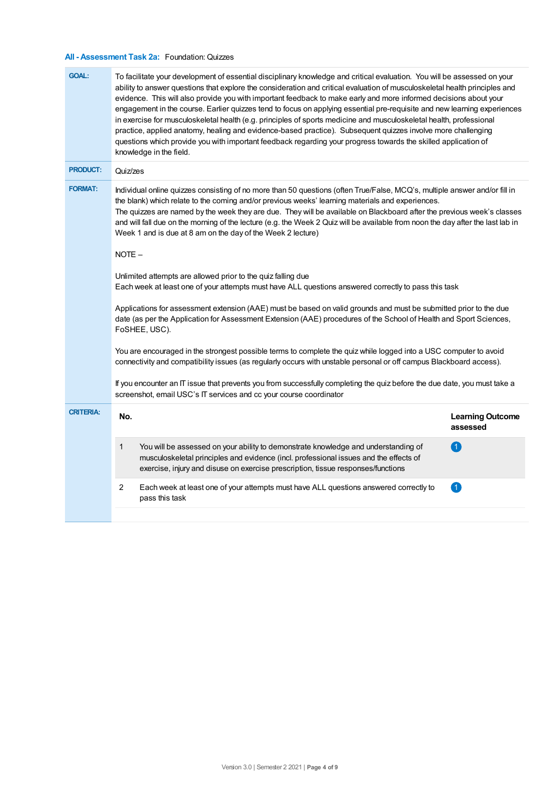## **All - Assessment Task 2a:** Foundation: Quizzes

| <b>GOAL:</b>     |                                                                                                                                                                                                                                                                                                                                                                                                                                                                                                                                                            | To facilitate your development of essential disciplinary knowledge and critical evaluation. You will be assessed on your<br>ability to answer questions that explore the consideration and critical evaluation of musculoskeletal health principles and<br>evidence. This will also provide you with important feedback to make early and more informed decisions about your<br>engagement in the course. Earlier quizzes tend to focus on applying essential pre-requisite and new learning experiences<br>in exercise for musculoskeletal health (e.g. principles of sports medicine and musculoskeletal health, professional<br>practice, applied anatomy, healing and evidence-based practice). Subsequent quizzes involve more challenging<br>questions which provide you with important feedback regarding your progress towards the skilled application of<br>knowledge in the field. |                                     |  |  |
|------------------|------------------------------------------------------------------------------------------------------------------------------------------------------------------------------------------------------------------------------------------------------------------------------------------------------------------------------------------------------------------------------------------------------------------------------------------------------------------------------------------------------------------------------------------------------------|----------------------------------------------------------------------------------------------------------------------------------------------------------------------------------------------------------------------------------------------------------------------------------------------------------------------------------------------------------------------------------------------------------------------------------------------------------------------------------------------------------------------------------------------------------------------------------------------------------------------------------------------------------------------------------------------------------------------------------------------------------------------------------------------------------------------------------------------------------------------------------------------|-------------------------------------|--|--|
| <b>PRODUCT:</b>  | Quiz/zes                                                                                                                                                                                                                                                                                                                                                                                                                                                                                                                                                   |                                                                                                                                                                                                                                                                                                                                                                                                                                                                                                                                                                                                                                                                                                                                                                                                                                                                                              |                                     |  |  |
| <b>FORMAT:</b>   | Individual online quizzes consisting of no more than 50 questions (often True/False, MCQ's, multiple answer and/or fill in<br>the blank) which relate to the coming and/or previous weeks' learning materials and experiences.<br>The quizzes are named by the week they are due. They will be available on Blackboard after the previous week's classes<br>and will fall due on the morning of the lecture (e.g. the Week 2 Quiz will be available from noon the day after the last lab in<br>Week 1 and is due at 8 am on the day of the Week 2 lecture) |                                                                                                                                                                                                                                                                                                                                                                                                                                                                                                                                                                                                                                                                                                                                                                                                                                                                                              |                                     |  |  |
|                  | NOTE-                                                                                                                                                                                                                                                                                                                                                                                                                                                                                                                                                      |                                                                                                                                                                                                                                                                                                                                                                                                                                                                                                                                                                                                                                                                                                                                                                                                                                                                                              |                                     |  |  |
|                  | Unlimited attempts are allowed prior to the quiz falling due<br>Each week at least one of your attempts must have ALL questions answered correctly to pass this task                                                                                                                                                                                                                                                                                                                                                                                       |                                                                                                                                                                                                                                                                                                                                                                                                                                                                                                                                                                                                                                                                                                                                                                                                                                                                                              |                                     |  |  |
|                  | Applications for assessment extension (AAE) must be based on valid grounds and must be submitted prior to the due<br>date (as per the Application for Assessment Extension (AAE) procedures of the School of Health and Sport Sciences,<br>FoSHEE, USC).                                                                                                                                                                                                                                                                                                   |                                                                                                                                                                                                                                                                                                                                                                                                                                                                                                                                                                                                                                                                                                                                                                                                                                                                                              |                                     |  |  |
|                  | You are encouraged in the strongest possible terms to complete the quiz while logged into a USC computer to avoid<br>connectivity and compatibility issues (as regularly occurs with unstable personal or off campus Blackboard access).                                                                                                                                                                                                                                                                                                                   |                                                                                                                                                                                                                                                                                                                                                                                                                                                                                                                                                                                                                                                                                                                                                                                                                                                                                              |                                     |  |  |
|                  | If you encounter an IT issue that prevents you from successfully completing the quiz before the due date, you must take a<br>screenshot, email USC's IT services and cc your course coordinator                                                                                                                                                                                                                                                                                                                                                            |                                                                                                                                                                                                                                                                                                                                                                                                                                                                                                                                                                                                                                                                                                                                                                                                                                                                                              |                                     |  |  |
| <b>CRITERIA:</b> | No.                                                                                                                                                                                                                                                                                                                                                                                                                                                                                                                                                        |                                                                                                                                                                                                                                                                                                                                                                                                                                                                                                                                                                                                                                                                                                                                                                                                                                                                                              | <b>Learning Outcome</b><br>assessed |  |  |
|                  | 1                                                                                                                                                                                                                                                                                                                                                                                                                                                                                                                                                          | You will be assessed on your ability to demonstrate knowledge and understanding of<br>musculoskeletal principles and evidence (incl. professional issues and the effects of<br>exercise, injury and disuse on exercise prescription, tissue responses/functions                                                                                                                                                                                                                                                                                                                                                                                                                                                                                                                                                                                                                              | 4                                   |  |  |
|                  | 2                                                                                                                                                                                                                                                                                                                                                                                                                                                                                                                                                          | Each week at least one of your attempts must have ALL questions answered correctly to<br>pass this task                                                                                                                                                                                                                                                                                                                                                                                                                                                                                                                                                                                                                                                                                                                                                                                      | 0                                   |  |  |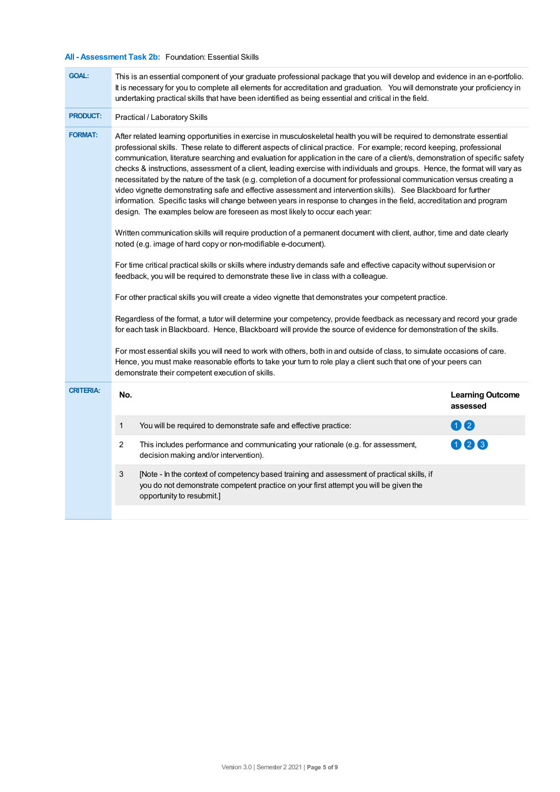### **All - Assessment Task 2b:** Foundation: Essential Skills

| <b>GOAL:</b>     | This is an essential component of your graduate professional package that you will develop and evidence in an e-portfolio.<br>It is necessary for you to complete all elements for accreditation and graduation. You will demonstrate your proficiency in<br>undertaking practical skills that have been identified as being essential and critical in the field.                                                                                                                                                                                                                                                                                                                                                                                                                                                                                                                                                                                                                                                                                                                                                                                                                                                                                                                                                                                                                                                                                                                                                                                                                                                                                                                                                                             |                                     |  |  |  |
|------------------|-----------------------------------------------------------------------------------------------------------------------------------------------------------------------------------------------------------------------------------------------------------------------------------------------------------------------------------------------------------------------------------------------------------------------------------------------------------------------------------------------------------------------------------------------------------------------------------------------------------------------------------------------------------------------------------------------------------------------------------------------------------------------------------------------------------------------------------------------------------------------------------------------------------------------------------------------------------------------------------------------------------------------------------------------------------------------------------------------------------------------------------------------------------------------------------------------------------------------------------------------------------------------------------------------------------------------------------------------------------------------------------------------------------------------------------------------------------------------------------------------------------------------------------------------------------------------------------------------------------------------------------------------------------------------------------------------------------------------------------------------|-------------------------------------|--|--|--|
| <b>PRODUCT:</b>  | Practical / Laboratory Skills                                                                                                                                                                                                                                                                                                                                                                                                                                                                                                                                                                                                                                                                                                                                                                                                                                                                                                                                                                                                                                                                                                                                                                                                                                                                                                                                                                                                                                                                                                                                                                                                                                                                                                                 |                                     |  |  |  |
| <b>FORMAT:</b>   | After related learning opportunities in exercise in musculoskeletal health you will be required to demonstrate essential<br>professional skills. These relate to different aspects of clinical practice. For example; record keeping, professional<br>communication, literature searching and evaluation for application in the care of a client/s, demonstration of specific safety<br>checks & instructions, assessment of a client, leading exercise with individuals and groups. Hence, the format will vary as<br>necessitated by the nature of the task (e.g. completion of a document for professional communication versus creating a<br>video vignette demonstrating safe and effective assessment and intervention skills). See Blackboard for further<br>information. Specific tasks will change between years in response to changes in the field, accreditation and program<br>design. The examples below are foreseen as most likely to occur each year:<br>Written communication skills will require production of a permanent document with client, author, time and date clearly<br>noted (e.g. image of hard copy or non-modifiable e-document).<br>For time critical practical skills or skills where industry demands safe and effective capacity without supervision or<br>feedback, you will be required to demonstrate these live in class with a colleague.<br>For other practical skills you will create a video vignette that demonstrates your competent practice.<br>Regardless of the format, a tutor will determine your competency, provide feedback as necessary and record your grade<br>for each task in Blackboard. Hence, Blackboard will provide the source of evidence for demonstration of the skills. |                                     |  |  |  |
|                  |                                                                                                                                                                                                                                                                                                                                                                                                                                                                                                                                                                                                                                                                                                                                                                                                                                                                                                                                                                                                                                                                                                                                                                                                                                                                                                                                                                                                                                                                                                                                                                                                                                                                                                                                               |                                     |  |  |  |
|                  |                                                                                                                                                                                                                                                                                                                                                                                                                                                                                                                                                                                                                                                                                                                                                                                                                                                                                                                                                                                                                                                                                                                                                                                                                                                                                                                                                                                                                                                                                                                                                                                                                                                                                                                                               |                                     |  |  |  |
|                  |                                                                                                                                                                                                                                                                                                                                                                                                                                                                                                                                                                                                                                                                                                                                                                                                                                                                                                                                                                                                                                                                                                                                                                                                                                                                                                                                                                                                                                                                                                                                                                                                                                                                                                                                               |                                     |  |  |  |
|                  |                                                                                                                                                                                                                                                                                                                                                                                                                                                                                                                                                                                                                                                                                                                                                                                                                                                                                                                                                                                                                                                                                                                                                                                                                                                                                                                                                                                                                                                                                                                                                                                                                                                                                                                                               |                                     |  |  |  |
|                  | For most essential skills you will need to work with others, both in and outside of class, to simulate occasions of care.<br>Hence, you must make reasonable efforts to take your turn to role play a client such that one of your peers can<br>demonstrate their competent execution of skills.                                                                                                                                                                                                                                                                                                                                                                                                                                                                                                                                                                                                                                                                                                                                                                                                                                                                                                                                                                                                                                                                                                                                                                                                                                                                                                                                                                                                                                              |                                     |  |  |  |
| <b>CRITERIA:</b> | No.                                                                                                                                                                                                                                                                                                                                                                                                                                                                                                                                                                                                                                                                                                                                                                                                                                                                                                                                                                                                                                                                                                                                                                                                                                                                                                                                                                                                                                                                                                                                                                                                                                                                                                                                           | <b>Learning Outcome</b><br>assessed |  |  |  |
|                  | 1<br>You will be required to demonstrate safe and effective practice:                                                                                                                                                                                                                                                                                                                                                                                                                                                                                                                                                                                                                                                                                                                                                                                                                                                                                                                                                                                                                                                                                                                                                                                                                                                                                                                                                                                                                                                                                                                                                                                                                                                                         | 00                                  |  |  |  |
|                  | 2<br>This includes performance and communicating your rationale (e.g. for assessment,<br>decision making and/or intervention).                                                                                                                                                                                                                                                                                                                                                                                                                                                                                                                                                                                                                                                                                                                                                                                                                                                                                                                                                                                                                                                                                                                                                                                                                                                                                                                                                                                                                                                                                                                                                                                                                | 12<br>3                             |  |  |  |
|                  | 3<br>[Note - In the context of competency based training and assessment of practical skills, if<br>you do not demonstrate competent practice on your first attempt you will be given the<br>opportunity to resubmit.]                                                                                                                                                                                                                                                                                                                                                                                                                                                                                                                                                                                                                                                                                                                                                                                                                                                                                                                                                                                                                                                                                                                                                                                                                                                                                                                                                                                                                                                                                                                         |                                     |  |  |  |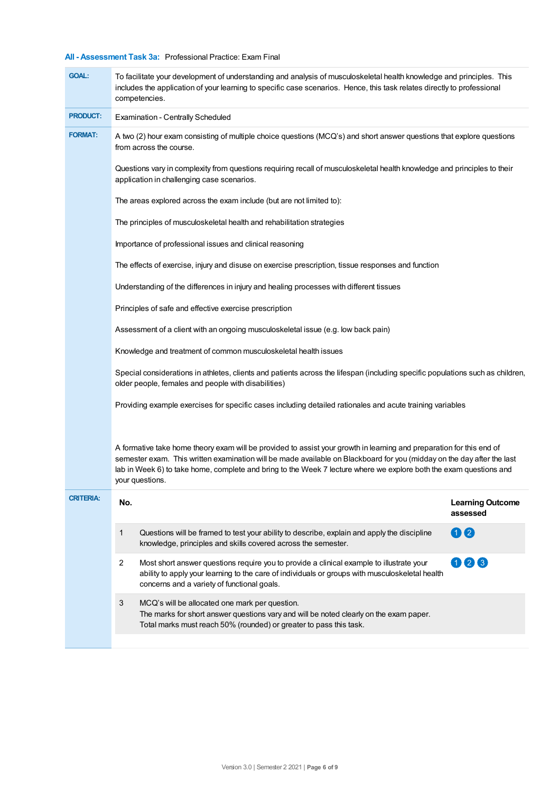## **All - Assessment Task 3a:** Professional Practice: Exam Final

| <b>GOAL:</b>     | To facilitate your development of understanding and analysis of musculoskeletal health knowledge and principles. This<br>includes the application of your learning to specific case scenarios. Hence, this task relates directly to professional<br>competencies.                                                                                                                       |                                     |  |  |  |  |
|------------------|-----------------------------------------------------------------------------------------------------------------------------------------------------------------------------------------------------------------------------------------------------------------------------------------------------------------------------------------------------------------------------------------|-------------------------------------|--|--|--|--|
| <b>PRODUCT:</b>  | <b>Examination - Centrally Scheduled</b>                                                                                                                                                                                                                                                                                                                                                |                                     |  |  |  |  |
| <b>FORMAT:</b>   | A two (2) hour exam consisting of multiple choice questions (MCQ's) and short answer questions that explore questions<br>from across the course.                                                                                                                                                                                                                                        |                                     |  |  |  |  |
|                  | Questions vary in complexity from questions requiring recall of musculoskeletal health knowledge and principles to their<br>application in challenging case scenarios.                                                                                                                                                                                                                  |                                     |  |  |  |  |
|                  | The areas explored across the exam include (but are not limited to):                                                                                                                                                                                                                                                                                                                    |                                     |  |  |  |  |
|                  | The principles of musculoskeletal health and rehabilitation strategies                                                                                                                                                                                                                                                                                                                  |                                     |  |  |  |  |
|                  | Importance of professional issues and clinical reasoning                                                                                                                                                                                                                                                                                                                                |                                     |  |  |  |  |
|                  | The effects of exercise, injury and disuse on exercise prescription, tissue responses and function                                                                                                                                                                                                                                                                                      |                                     |  |  |  |  |
|                  | Understanding of the differences in injury and healing processes with different tissues                                                                                                                                                                                                                                                                                                 |                                     |  |  |  |  |
|                  | Principles of safe and effective exercise prescription                                                                                                                                                                                                                                                                                                                                  |                                     |  |  |  |  |
|                  | Assessment of a client with an ongoing musculoskeletal issue (e.g. low back pain)                                                                                                                                                                                                                                                                                                       |                                     |  |  |  |  |
|                  | Knowledge and treatment of common musculoskeletal health issues                                                                                                                                                                                                                                                                                                                         |                                     |  |  |  |  |
|                  | Special considerations in athletes, clients and patients across the lifespan (including specific populations such as children,<br>older people, females and people with disabilities)                                                                                                                                                                                                   |                                     |  |  |  |  |
|                  | Providing example exercises for specific cases including detailed rationales and acute training variables                                                                                                                                                                                                                                                                               |                                     |  |  |  |  |
|                  | A formative take home theory exam will be provided to assist your growth in learning and preparation for this end of<br>semester exam. This written examination will be made available on Blackboard for you (midday on the day after the last<br>lab in Week 6) to take home, complete and bring to the Week 7 lecture where we explore both the exam questions and<br>your questions. |                                     |  |  |  |  |
| <b>CRITERIA:</b> | No.                                                                                                                                                                                                                                                                                                                                                                                     | <b>Learning Outcome</b><br>assessed |  |  |  |  |
|                  | 1<br>Questions will be framed to test your ability to describe, explain and apply the discipline<br>knowledge, principles and skills covered across the semester.                                                                                                                                                                                                                       | 00                                  |  |  |  |  |
|                  | 2<br>Most short answer questions require you to provide a clinical example to illustrate your<br>ability to apply your learning to the care of individuals or groups with musculoskeletal health<br>concerns and a variety of functional goals.                                                                                                                                         | 026                                 |  |  |  |  |
|                  | 3<br>MCQ's will be allocated one mark per question.<br>The marks for short answer questions vary and will be noted clearly on the exam paper.<br>Total marks must reach 50% (rounded) or greater to pass this task.                                                                                                                                                                     |                                     |  |  |  |  |
|                  |                                                                                                                                                                                                                                                                                                                                                                                         |                                     |  |  |  |  |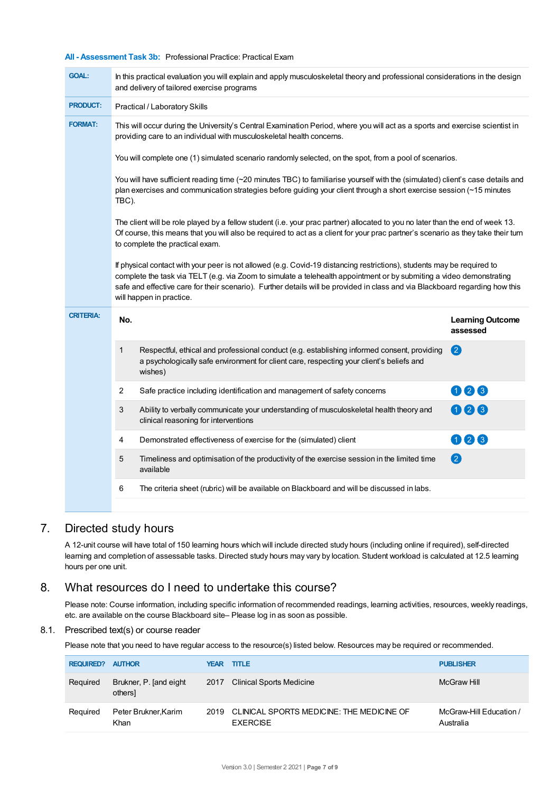#### **All - Assessment Task 3b:** Professional Practice: Practical Exam

| <b>GOAL:</b>     | In this practical evaluation you will explain and apply musculoskeletal theory and professional considerations in the design<br>and delivery of tailored exercise programs                                                                                                                                                                                                                                                                                                                                                                                               |                                     |  |  |  |  |
|------------------|--------------------------------------------------------------------------------------------------------------------------------------------------------------------------------------------------------------------------------------------------------------------------------------------------------------------------------------------------------------------------------------------------------------------------------------------------------------------------------------------------------------------------------------------------------------------------|-------------------------------------|--|--|--|--|
| <b>PRODUCT:</b>  | Practical / Laboratory Skills                                                                                                                                                                                                                                                                                                                                                                                                                                                                                                                                            |                                     |  |  |  |  |
| <b>FORMAT:</b>   | This will occur during the University's Central Examination Period, where you will act as a sports and exercise scientist in<br>providing care to an individual with musculoskeletal health concerns.                                                                                                                                                                                                                                                                                                                                                                    |                                     |  |  |  |  |
|                  | You will complete one (1) simulated scenario randomly selected, on the spot, from a pool of scenarios.                                                                                                                                                                                                                                                                                                                                                                                                                                                                   |                                     |  |  |  |  |
|                  | You will have sufficient reading time (~20 minutes TBC) to familiarise yourself with the (simulated) client's case details and<br>plan exercises and communication strategies before guiding your client through a short exercise session (~15 minutes<br>TBC).<br>The client will be role played by a fellow student (i.e. your prac partner) allocated to you no later than the end of week 13.<br>Of course, this means that you will also be required to act as a client for your prac partner's scenario as they take their turn<br>to complete the practical exam. |                                     |  |  |  |  |
|                  |                                                                                                                                                                                                                                                                                                                                                                                                                                                                                                                                                                          |                                     |  |  |  |  |
|                  | If physical contact with your peer is not allowed (e.g. Covid-19 distancing restrictions), students may be required to<br>complete the task via TELT (e.g. via Zoom to simulate a telehealth appointment or by submiting a video demonstrating<br>safe and effective care for their scenario). Further details will be provided in class and via Blackboard regarding how this<br>will happen in practice.                                                                                                                                                               |                                     |  |  |  |  |
| <b>CRITERIA:</b> | No.                                                                                                                                                                                                                                                                                                                                                                                                                                                                                                                                                                      | <b>Learning Outcome</b><br>assessed |  |  |  |  |
|                  | Respectful, ethical and professional conduct (e.g. establishing informed consent, providing<br>1<br>a psychologically safe environment for client care, respecting your client's beliefs and<br>wishes)                                                                                                                                                                                                                                                                                                                                                                  | 2                                   |  |  |  |  |
|                  | 2<br>Safe practice including identification and management of safety concerns                                                                                                                                                                                                                                                                                                                                                                                                                                                                                            | 006                                 |  |  |  |  |
|                  | 3<br>Ability to verbally communicate your understanding of musculoskeletal health theory and<br>clinical reasoning for interventions                                                                                                                                                                                                                                                                                                                                                                                                                                     | 000                                 |  |  |  |  |
|                  |                                                                                                                                                                                                                                                                                                                                                                                                                                                                                                                                                                          |                                     |  |  |  |  |
|                  | Demonstrated effectiveness of exercise for the (simulated) client<br>4                                                                                                                                                                                                                                                                                                                                                                                                                                                                                                   | 006                                 |  |  |  |  |
|                  | 5<br>Timeliness and optimisation of the productivity of the exercise session in the limited time<br>available                                                                                                                                                                                                                                                                                                                                                                                                                                                            | 2                                   |  |  |  |  |

## 7. Directed study hours

A 12-unit course will have total of 150 learning hours which will include directed study hours (including online if required), self-directed learning and completion of assessable tasks. Directed study hours may vary by location. Student workload is calculated at 12.5 learning hours per one unit.

## 8. What resources do I need to undertake this course?

Please note: Course information, including specific information of recommended readings, learning activities, resources, weekly readings, etc. are available on the course Blackboard site– Please log in as soon as possible.

#### 8.1. Prescribed text(s) or course reader

Please note that you need to have regular access to the resource(s) listed below. Resources may be required or recommended.

| <b>REQUIRED?</b> | <b>AUTHOR</b>                     | <b>YEAR</b> | <b>TITLE</b>                                                 | <b>PUBLISHER</b>                     |
|------------------|-----------------------------------|-------------|--------------------------------------------------------------|--------------------------------------|
| Reguired         | Brukner, P. [and eight<br>others] | 2017        | Clinical Sports Medicine                                     | McGraw Hill                          |
| Reguired         | Peter Brukner.Karim<br>Khan       | 2019        | CLINICAL SPORTS MEDICINE: THE MEDICINE OF<br><b>EXERCISE</b> | McGraw-Hill Education /<br>Australia |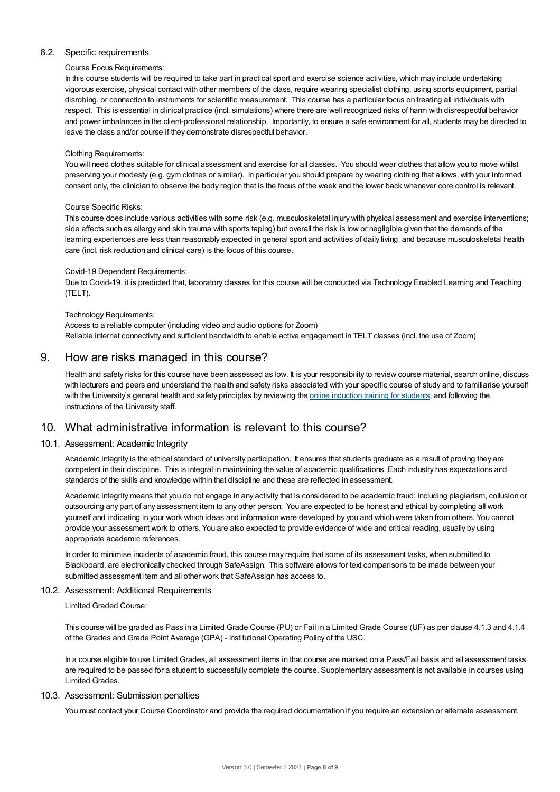#### 8.2. Specific requirements

#### Course Focus Requirements:

In this course students will be required to take part in practical sport and exercise science activities, which may include undertaking vigorous exercise, physical contact with other members of the class, require wearing specialist clothing, using sports equipment, partial disrobing, or connection to instruments for scientific measurement. This course has a particular focus on treating all individuals with respect. This is essential in clinical practice (incl. simulations) where there are well recognized risks of harm with disrespectful behavior and power imbalances in the client-professional relationship. Importantly, to ensure a safe environment for all, students may be directed to leave the class and/or course if they demonstrate disrespectful behavior.

#### Clothing Requirements:

You will need clothes suitable for clinical assessment and exercise for all classes. You should wear clothes that allow you to move whilst preserving your modesty (e.g. gym clothes or similar). In particular you should prepare by wearing clothing that allows, with your informed consent only, the clinician to observe the body region that is the focus of the week and the lower back whenever core control is relevant.

#### Course Specific Risks:

This course does include various activities with some risk (e.g. musculoskeletal injury with physical assessment and exercise interventions; side effects such as allergy and skin trauma with sports taping) but overall the risk is low or negligible given that the demands of the learning experiences are less than reasonably expected in general sport and activities of daily living, and because musculoskeletal health care (incl. risk reduction and clinical care) is the focus of this course.

#### Covid-19 Dependent Requirements:

Due to Covid-19, it is predicted that, laboratory classes for this course will be conducted via Technology Enabled Learning and Teaching (TELT).

#### Technology Requirements:

Access to a reliable computer (including video and audio options for Zoom) Reliable internet connectivity and sufficient bandwidth to enable active engagement in TELT classes (incl. the use of Zoom)

#### 9. How are risks managed in this course?

Health and safety risks for this course have been assessed as low. It is your responsibility to review course material, search online, discuss with lecturers and peers and understand the health and safety risks associated with your specific course of study and to familiarise yourself with the University's general health and safety principles by reviewing the online [induction](https://online.usc.edu.au/webapps/blackboard/content/listContentEditable.jsp?content_id=_632657_1&course_id=_14432_1) training for students, and following the instructions of the University staff.

## 10. What administrative information is relevant to this course?

#### 10.1. Assessment: Academic Integrity

Academic integrity is the ethical standard of university participation. It ensures that students graduate as a result of proving they are competent in their discipline. This is integral in maintaining the value of academic qualifications. Each industry has expectations and standards of the skills and knowledge within that discipline and these are reflected in assessment.

Academic integrity means that you do not engage in any activity that is considered to be academic fraud; including plagiarism, collusion or outsourcing any part of any assessment item to any other person. You are expected to be honest and ethical by completing all work yourself and indicating in your work which ideas and information were developed by you and which were taken from others. You cannot provide your assessment work to others.You are also expected to provide evidence of wide and critical reading, usually by using appropriate academic references.

In order to minimise incidents of academic fraud, this course may require that some of its assessment tasks, when submitted to Blackboard, are electronically checked through SafeAssign. This software allows for text comparisons to be made between your submitted assessment item and all other work that SafeAssign has access to.

#### 10.2. Assessment: Additional Requirements

Limited Graded Course:

This course will be graded as Pass in a Limited Grade Course (PU) or Fail in a Limited Grade Course (UF) as per clause 4.1.3 and 4.1.4 of the Grades and Grade Point Average (GPA) - Institutional Operating Policy of the USC.

In a course eligible to use Limited Grades, all assessment items in that course are marked on a Pass/Fail basis and all assessment tasks are required to be passed for a student to successfully complete the course. Supplementary assessment is not available in courses using Limited Grades.

#### 10.3. Assessment: Submission penalties

You must contact your Course Coordinator and provide the required documentation if you require an extension or alternate assessment.